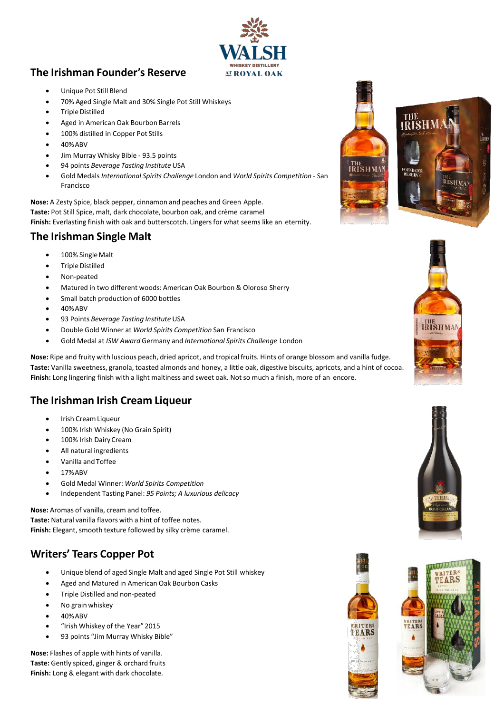### **The Irishman Founder's Reserve**

- Unique Pot Still Blend
- 70% Aged Single Malt and 30% Single Pot Still Whiskeys
- Triple Distilled
- Aged in American Oak Bourbon Barrels
- 100% distilled in Copper Pot Stills
- 40%ABV
- Jim Murray Whisky Bible 93.5 points
- 94 points *Beverage Tasting Institute* USA
- Gold Medals *International Spirits Challenge* London and *World Spirits Competition*  San Francisco

**Nose:** A Zesty Spice, black pepper, cinnamon and peaches and Green Apple. **Taste:** Pot Still Spice, malt, dark chocolate, bourbon oak, and crème caramel

Finish: Everlasting finish with oak and butterscotch. Lingers for what seems like an eternity.

#### **The Irishman Single Malt**

- 100% Single Malt
- Triple Distilled
- Non-peated
- Matured in two different woods: American Oak Bourbon & Oloroso Sherry
- Small batch production of 6000 bottles
- 40%ABV
- 93 Points *Beverage Tasting Institute* USA
- Double Gold Winner at *World Spirits Competition* San Francisco
- Gold Medal at *ISW Award* Germany and *International Spirits Challenge* London

**Nose:** Ripe and fruity with luscious peach, dried apricot, and tropical fruits. Hints of orange blossom and vanilla fudge. **Taste:** Vanilla sweetness, granola, toasted almonds and honey, a little oak, digestive biscuits, apricots, and a hint of cocoa. **Finish:** Long lingering finish with a light maltiness and sweet oak. Not so much a finish, more of an encore.

### **The Irishman Irish Cream Liqueur**

- Irish CreamLiqueur
- 100% Irish Whiskey (No Grain Spirit)
- 100% Irish DairyCream
- All natural ingredients
- Vanilla and Toffee
- 17%ABV
- Gold Medal Winner: *World Spirits Competition*
- Independent Tasting Panel: *95 Points; A luxurious delicacy*

**Nose:** Aromas of vanilla, cream and toffee. **Taste:** Natural vanilla flavors with a hint of toffee notes. **Finish:** Elegant, smooth texture followed by silky crème caramel.

### **Writers' Tears Copper Pot**

- Unique blend of aged Single Malt and aged Single Pot Still whiskey
- Aged and Matured in American Oak Bourbon Casks
- Triple Distilled and non-peated
- No grain whiskey
- 40%ABV
- "Irish Whiskey of the Year" 2015
- 93 points "Jim Murray Whisky Bible"

**Nose:** Flashes of apple with hints of vanilla. **Taste:** Gently spiced, ginger & orchard fruits **Finish:** Long & elegant with dark chocolate.